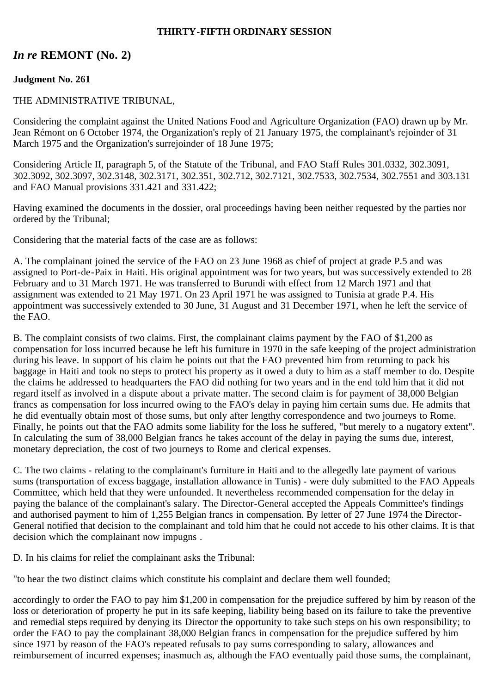# **THIRTY-FIFTH ORDINARY SESSION**

# *In re* **REMONT (No. 2)**

# **Judgment No. 261**

## THE ADMINISTRATIVE TRIBUNAL,

Considering the complaint against the United Nations Food and Agriculture Organization (FAO) drawn up by Mr. Jean Rémont on 6 October 1974, the Organization's reply of 21 January 1975, the complainant's rejoinder of 31 March 1975 and the Organization's surrejoinder of 18 June 1975;

Considering Article II, paragraph 5, of the Statute of the Tribunal, and FAO Staff Rules 301.0332, 302.3091, 302.3092, 302.3097, 302.3148, 302.3171, 302.351, 302.712, 302.7121, 302.7533, 302.7534, 302.7551 and 303.131 and FAO Manual provisions 331.421 and 331.422;

Having examined the documents in the dossier, oral proceedings having been neither requested by the parties nor ordered by the Tribunal;

Considering that the material facts of the case are as follows:

A. The complainant joined the service of the FAO on 23 June 1968 as chief of project at grade P.5 and was assigned to Port-de-Paix in Haiti. His original appointment was for two years, but was successively extended to 28 February and to 31 March 1971. He was transferred to Burundi with effect from 12 March 1971 and that assignment was extended to 21 May 1971. On 23 April 1971 he was assigned to Tunisia at grade P.4. His appointment was successively extended to 30 June, 31 August and 31 December 1971, when he left the service of the FAO.

B. The complaint consists of two claims. First, the complainant claims payment by the FAO of \$1,200 as compensation for loss incurred because he left his furniture in 1970 in the safe keeping of the project administration during his leave. In support of his claim he points out that the FAO prevented him from returning to pack his baggage in Haiti and took no steps to protect his property as it owed a duty to him as a staff member to do. Despite the claims he addressed to headquarters the FAO did nothing for two years and in the end told him that it did not regard itself as involved in a dispute about a private matter. The second claim is for payment of 38,000 Belgian francs as compensation for loss incurred owing to the FAO's delay in paying him certain sums due. He admits that he did eventually obtain most of those sums, but only after lengthy correspondence and two journeys to Rome. Finally, he points out that the FAO admits some liability for the loss he suffered, "but merely to a nugatory extent". In calculating the sum of 38,000 Belgian francs he takes account of the delay in paying the sums due, interest, monetary depreciation, the cost of two journeys to Rome and clerical expenses.

C. The two claims - relating to the complainant's furniture in Haiti and to the allegedly late payment of various sums (transportation of excess baggage, installation allowance in Tunis) - were duly submitted to the FAO Appeals Committee, which held that they were unfounded. It nevertheless recommended compensation for the delay in paying the balance of the complainant's salary. The Director-General accepted the Appeals Committee's findings and authorised payment to him of 1,255 Belgian francs in compensation. By letter of 27 June 1974 the Director-General notified that decision to the complainant and told him that he could not accede to his other claims. It is that decision which the complainant now impugns .

D. In his claims for relief the complainant asks the Tribunal:

"to hear the two distinct claims which constitute his complaint and declare them well founded;

accordingly to order the FAO to pay him \$1,200 in compensation for the prejudice suffered by him by reason of the loss or deterioration of property he put in its safe keeping, liability being based on its failure to take the preventive and remedial steps required by denying its Director the opportunity to take such steps on his own responsibility; to order the FAO to pay the complainant 38,000 Belgian francs in compensation for the prejudice suffered by him since 1971 by reason of the FAO's repeated refusals to pay sums corresponding to salary, allowances and reimbursement of incurred expenses; inasmuch as, although the FAO eventually paid those sums, the complainant,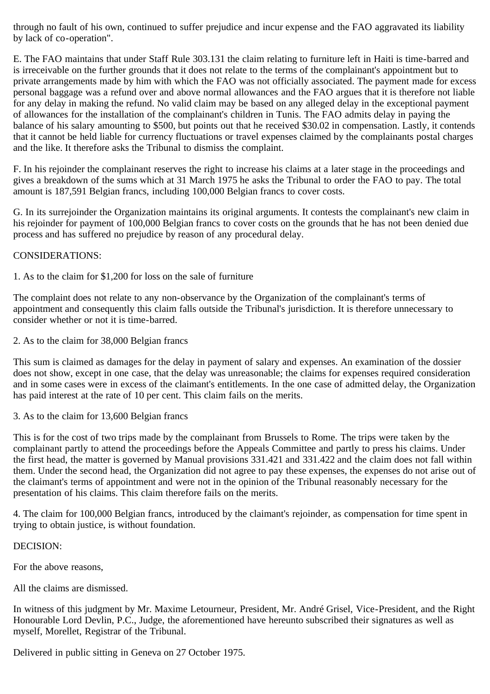through no fault of his own, continued to suffer prejudice and incur expense and the FAO aggravated its liability by lack of co-operation".

E. The FAO maintains that under Staff Rule 303.131 the claim relating to furniture left in Haiti is time-barred and is irreceivable on the further grounds that it does not relate to the terms of the complainant's appointment but to private arrangements made by him with which the FAO was not officially associated. The payment made for excess personal baggage was a refund over and above normal allowances and the FAO argues that it is therefore not liable for any delay in making the refund. No valid claim may be based on any alleged delay in the exceptional payment of allowances for the installation of the complainant's children in Tunis. The FAO admits delay in paying the balance of his salary amounting to \$500, but points out that he received \$30.02 in compensation. Lastly, it contends that it cannot be held liable for currency fluctuations or travel expenses claimed by the complainants postal charges and the like. It therefore asks the Tribunal to dismiss the complaint.

F. In his rejoinder the complainant reserves the right to increase his claims at a later stage in the proceedings and gives a breakdown of the sums which at 31 March 1975 he asks the Tribunal to order the FAO to pay. The total amount is 187,591 Belgian francs, including 100,000 Belgian francs to cover costs.

G. In its surrejoinder the Organization maintains its original arguments. It contests the complainant's new claim in his rejoinder for payment of 100,000 Belgian francs to cover costs on the grounds that he has not been denied due process and has suffered no prejudice by reason of any procedural delay.

## CONSIDERATIONS:

1. As to the claim for \$1,200 for loss on the sale of furniture

The complaint does not relate to any non-observance by the Organization of the complainant's terms of appointment and consequently this claim falls outside the Tribunal's jurisdiction. It is therefore unnecessary to consider whether or not it is time-barred.

2. As to the claim for 38,000 Belgian francs

This sum is claimed as damages for the delay in payment of salary and expenses. An examination of the dossier does not show, except in one case, that the delay was unreasonable; the claims for expenses required consideration and in some cases were in excess of the claimant's entitlements. In the one case of admitted delay, the Organization has paid interest at the rate of 10 per cent. This claim fails on the merits.

3. As to the claim for 13,600 Belgian francs

This is for the cost of two trips made by the complainant from Brussels to Rome. The trips were taken by the complainant partly to attend the proceedings before the Appeals Committee and partly to press his claims. Under the first head, the matter is governed by Manual provisions 331.421 and 331.422 and the claim does not fall within them. Under the second head, the Organization did not agree to pay these expenses, the expenses do not arise out of the claimant's terms of appointment and were not in the opinion of the Tribunal reasonably necessary for the presentation of his claims. This claim therefore fails on the merits.

4. The claim for 100,000 Belgian francs, introduced by the claimant's rejoinder, as compensation for time spent in trying to obtain justice, is without foundation.

#### DECISION:

For the above reasons,

All the claims are dismissed.

In witness of this judgment by Mr. Maxime Letourneur, President, Mr. André Grisel, Vice-President, and the Right Honourable Lord Devlin, P.C., Judge, the aforementioned have hereunto subscribed their signatures as well as myself, Morellet, Registrar of the Tribunal.

Delivered in public sitting in Geneva on 27 October 1975.